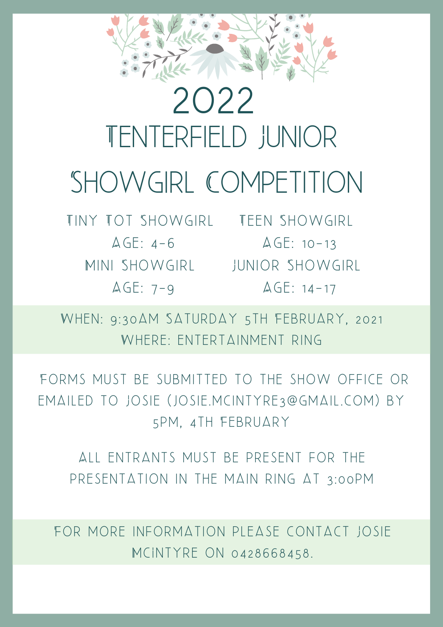

## Tenterfield Junior SHOWGIRL COMPETITION 2022

TINY TOT SHOWGIRL TEEN SHOWGIRL  $AGE: 4-6$ 

Mini Showgirl Junior Showgirl AGE: 7-9 AGE: 14-17  $AGE: 10-13$ 

WHEN: 9:30AM SATURDAY 5TH FEBRUARY, 2021 WHERE: ENTERTAINMENT RING

FORMS MUST BE SUBMITTED TO THE SHOW OFFICE OR EMAILED TO JOSIE (JOSIE.MCINTYRE3@GMAIL.COM) BY 5pm, 4th February

ALL ENTRANTS MUST BE PRESENT FOR THE PRESENTATION IN THE MAIN RING AT 3:00 PM

FOR MORE INFORMATION PLEASE CONTACT JOSIE McIntyre on 0428668458.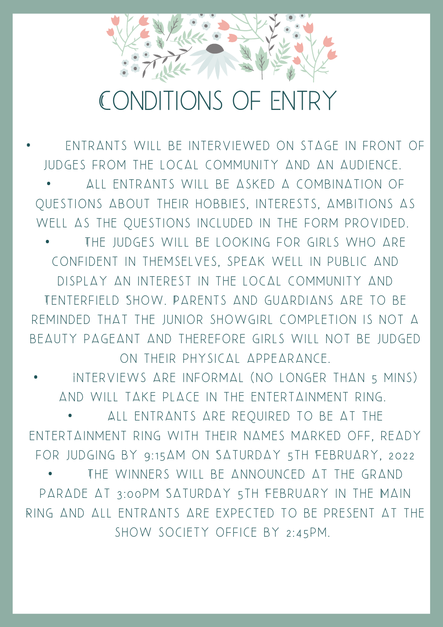## Conditions of Entry

**FNTRANTS WILL BE INTERVIEWED ON STAGE IN FRONT OF** JUDGES FROM THE LOCAL COMMUNITY AND AN AUDIENCE. • All entrants will be asked a combination of QUESTIONS ABOUT THEIR HOBBIES, INTERESTS, AMBITIONS AS WELL AS THE QUESTIONS INCLUDED IN THE FORM PROVIDED. THE JUDGES WILL BE LOOKING FOR GIRLS WHO ARE CONFIDENT IN THEMSELVES, SPEAK WELL IN PUBLIC AND di splay an intere st in the local community and TENTERFIELD SHOW. PARENTS AND GUARDIANS ARE TO BE REMINDED THAT THE JUNIOR SHOWGIRL COMPLETION IS NOT A BEAUTY PAGEANT AND THEREFORE GIRLS WILL NOT BE JUDGED ON THEIR PHYSICAL APPEARANCE.

INTERVIEWS ARE INFORMAL (NO LONGER THAN 5 MINS) and will take place in the entertainment ring.

ALL ENTRANTS ARE REQUIRED TO BE AT THE ENTERTAINMENT RING WITH THEIR NAMES MARKED OFF, READY FOR JUDGING BY 9:15AM ON SATURDAY 5TH FEBRUARY, 2022 THE WINNERS WILL BE ANNOUNCED AT THE GRAND parade at 3 :00pm Saturday 5th February in the Main RING AND ALL ENTRANTS ARE EXPECTED TO BE PRESENT AT THE SHOW SOCIETY OFFICE BY 2:45PM.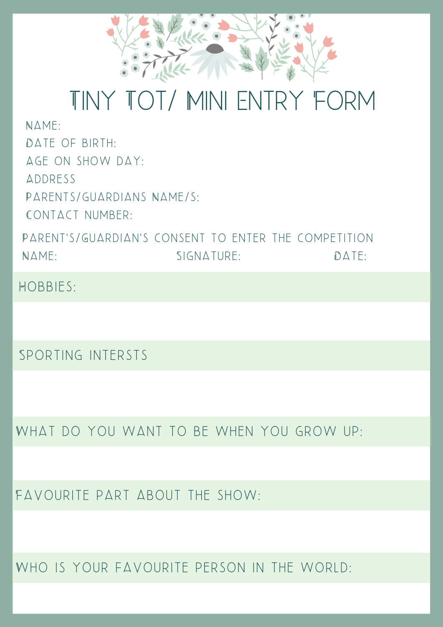

## Tiny Tot/ Mini Entry Form

 $N\triangle M$ F: Date of birth: Age on show day: **ADDRESS** PARENTS/GUARDIANS NAME/S. CONTACT NUMBER:

PARENT'S/GUARDIAN'S CONSENT TO ENTER THE COMPETITION NAME: DATE: SIGNATURE: DATE:

HOBBIES:

Sporting intersts

What do you want to be when you grow up:

Favourite part about the show:

WHO IS YOUR FAVOURITE PERSON IN THE WORLD: